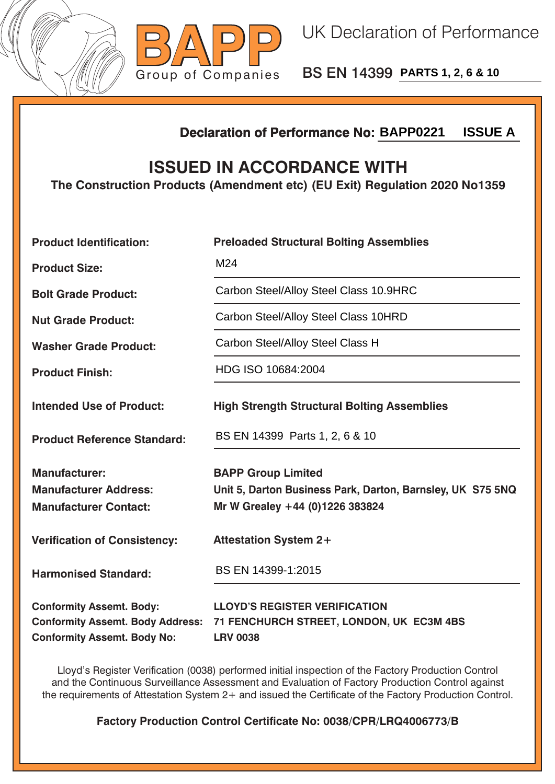



BS EN 14399 **PARTS 1, 2, 6 & 10**

## **Declaration of Performance No:**

## **ISSUED IN ACCORDANCE WITH**

|                                                                                                                  | <b>ISSUE A</b><br><b>Declaration of Performance No: BAPP0221</b>                                                           |  |  |
|------------------------------------------------------------------------------------------------------------------|----------------------------------------------------------------------------------------------------------------------------|--|--|
| <b>ISSUED IN ACCORDANCE WITH</b><br>The Construction Products (Amendment etc) (EU Exit) Regulation 2020 No1359   |                                                                                                                            |  |  |
| <b>Product Identification:</b>                                                                                   | <b>Preloaded Structural Bolting Assemblies</b>                                                                             |  |  |
| <b>Product Size:</b>                                                                                             | M24                                                                                                                        |  |  |
| <b>Bolt Grade Product:</b>                                                                                       | Carbon Steel/Alloy Steel Class 10.9HRC                                                                                     |  |  |
| <b>Nut Grade Product:</b>                                                                                        | Carbon Steel/Alloy Steel Class 10HRD                                                                                       |  |  |
| <b>Washer Grade Product:</b>                                                                                     | Carbon Steel/Alloy Steel Class H                                                                                           |  |  |
| <b>Product Finish:</b>                                                                                           | HDG ISO 10684:2004                                                                                                         |  |  |
| <b>Intended Use of Product:</b>                                                                                  | <b>High Strength Structural Bolting Assemblies</b>                                                                         |  |  |
| <b>Product Reference Standard:</b>                                                                               | BS EN 14399 Parts 1, 2, 6 & 10                                                                                             |  |  |
| <b>Manufacturer:</b><br><b>Manufacturer Address:</b><br><b>Manufacturer Contact:</b>                             | <b>BAPP Group Limited</b><br>Unit 5, Darton Business Park, Darton, Barnsley, UK S75 5NQ<br>Mr W Grealey +44 (0)1226 383824 |  |  |
| <b>Verification of Consistency:</b>                                                                              | <b>Attestation System 2+</b>                                                                                               |  |  |
| <b>Harmonised Standard:</b>                                                                                      | BS EN 14399-1:2015                                                                                                         |  |  |
| <b>Conformity Assemt. Body:</b><br><b>Conformity Assemt. Body Address:</b><br><b>Conformity Assemt. Body No:</b> | <b>LLOYD'S REGISTER VERIFICATION</b><br>71 FENCHURCH STREET, LONDON, UK EC3M 4BS<br><b>LRV 0038</b>                        |  |  |

Lloyd's Register Verification (0038) performed initial inspection of the Factory Production Control and the Continuous Surveillance Assessment and Evaluation of Factory Production Control against the requirements of Attestation System 2+ and issued the Certificate of the Factory Production Control.

**Factory Production Control Certificate No: 0038/CPR/LRQ4006773/B**